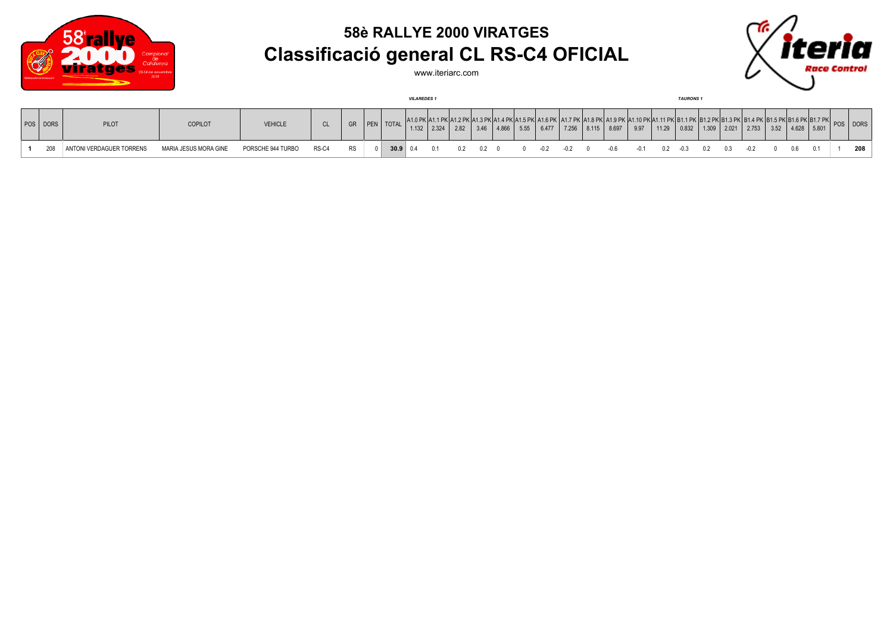

## **58è RALLYE 2000 VIRATGES Classificació general CL RS-C4 OFICIAL**



www.iteriarc.com

|          |                          |                       |                   |       |           |                 | <b>VILAREDES</b> |               |      |                |  |            |     |                                                                                                                    |     | <b>TAURONS1</b> |     |                       |       |                    |          |     |
|----------|--------------------------|-----------------------|-------------------|-------|-----------|-----------------|------------------|---------------|------|----------------|--|------------|-----|--------------------------------------------------------------------------------------------------------------------|-----|-----------------|-----|-----------------------|-------|--------------------|----------|-----|
| POS DORS | <b>PILOT</b>             | <b>COPILOT</b>        | <b>VEHICLE</b>    | CL    | <b>GR</b> | PEN TOTAL       |                  | $1.132$ 2.324 | 2.82 | $3.46$ $4.866$ |  |            |     | 11.5 PK A1.6 PK A1.7 PK A1.8 PK A1.9 PK A1.10 PK A1.11 PK B1.1 PK<br>5.55 6.477 7.256 8.115 8.697 9.97 11.29 0.832 |     |                 |     | 1.309   2.021   2.753 |       | $3.52$ 4.628 5.801 | POS DORS |     |
| 208      | ANTONI VERDAGUER TORRENS | MARIA JESUS MORA GINE | PORSCHE 944 TURBO | RS-C4 | <b>RS</b> | $30.9 \mid 0.4$ |                  |               |      |                |  | $-0.2$ 0.2 | -06 | -0.1                                                                                                               | በ 2 | -03             | 0.2 |                       | - ៣ ឝ |                    |          | 208 |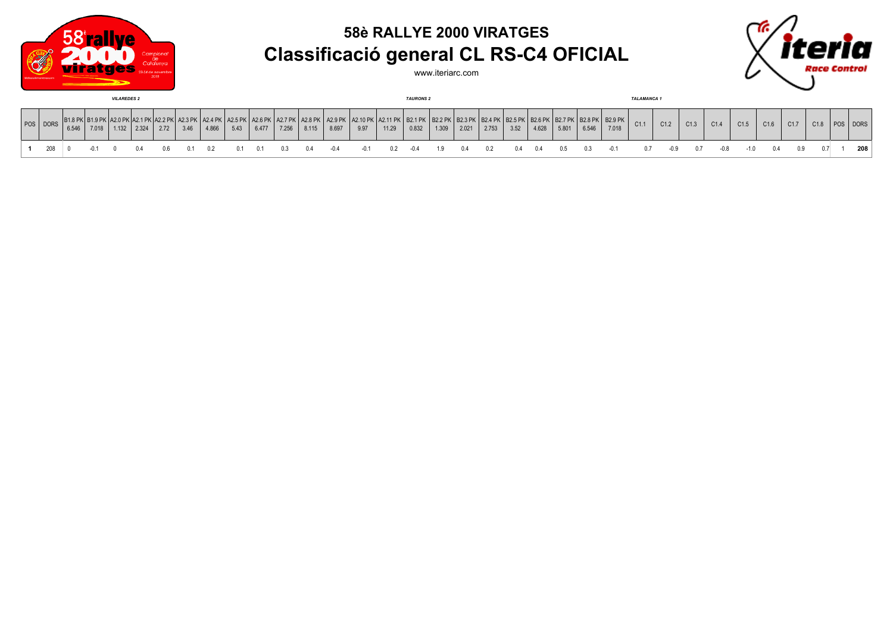

## **58è RALLYE 2000 VIRATGES Classificació general CL RS-C4 OFICIAL**



www.iteriarc.com

| <b>VILAREDES 2</b> |          |       |       |       |       |      |      |       |      |       |       | <b>TAURONS 2</b> |                            |                                                                                                                           |       |       |       |       |       |      | <b>TALAMANCA</b> |       |       |       |      |      |      |      |      |      |      |     |             |
|--------------------|----------|-------|-------|-------|-------|------|------|-------|------|-------|-------|------------------|----------------------------|---------------------------------------------------------------------------------------------------------------------------|-------|-------|-------|-------|-------|------|------------------|-------|-------|-------|------|------|------|------|------|------|------|-----|-------------|
|                    | POS DORS | 6.546 | 7.018 | 1.132 | 2.324 | 2.72 | 3.46 | 4.866 | 5.43 | 6.477 | 7.256 | 8.115            | A2.8 PK   A2.9 PK<br>8.697 | K   A2.10 PK   A2.11 PK   B2.1 PK   B2.2 PK   B2.3 PK   B2.4 PK   B2.5 PK   B2.6 PK   B2.7 PK   B2.8 PK   B2.9 PK<br>9.97 | 11.29 | 0.832 | 1.309 | 2.021 | 2.753 | 3.52 | 4.628            | 5.801 | 6.546 | 7.018 | C1.1 | C1.2 | C1.3 | C1.4 | C1.5 | C1.6 | C1.7 | 01s | <b>DORS</b> |
|                    |          |       |       |       |       |      |      |       |      |       |       | 0.4              |                            |                                                                                                                           |       |       |       | 01.Z  | 02    |      | (14              | 0.5   |       | -0.1  |      | -0.9 | 0. Z | -0.8 | -1.0 |      |      |     | 208         |